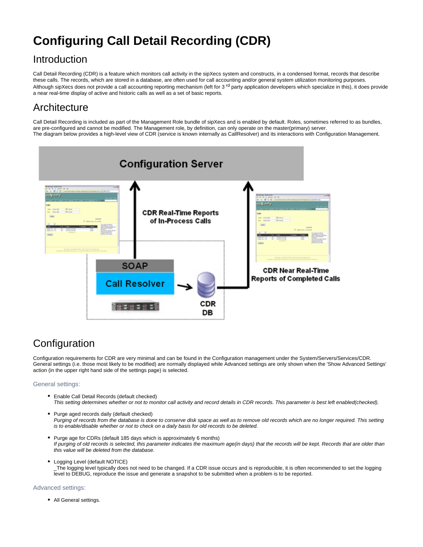# **Configuring Call Detail Recording (CDR)**

## Introduction

Call Detail Recording (CDR) is a feature which monitors call activity in the sipXecs system and constructs, in a condensed format, records that describe these calls. The records, which are stored in a database, are often used for call accounting and/or general system utilization monitoring purposes. Although sipXecs does not provide a call accounting reporting mechanism (left for 3<sup>rd</sup> party application developers which specialize in this), it does provide a near real-time display of active and historic calls as well as a set of basic reports.

## **Architecture**

Call Detail Recording is included as part of the Management Role bundle of sipXecs and is enabled by default. Roles, sometimes referred to as bundles, are pre-configured and cannot be modified. The Management role, by definition, can only operate on the master(primary) server. The diagram below provides a high-level view of CDR (service is known internally as CallResolver) and its interactions with Configuration Management.



## **Configuration**

Configuration requirements for CDR are very minimal and can be found in the Configuration management under the System/Servers/Services/CDR. General settings (i.e. those most likely to be modified) are normally displayed while Advanced settings are only shown when the 'Show Advanced Settings' action (in the upper right hand side of the settings page) is selected.

## General settings:

- Enable Call Detail Records (default checked) This setting determines whether or not to monitor call activity and record details in CDR records. This parameter is best left enabled(checked).
- Purge aged records daily (default checked) Purging of records from the database is done to conserve disk space as well as to remove old records which are no longer required. This setting is to enable/disable whether or not to check on a daily basis for old records to be deleted.
- Purge age for CDRs (default 185 days which is approximately 6 months) If purging of old records is selected, this parameter indicates the maximum age(in days) that the records will be kept. Records that are older than this value will be deleted from the database.
- Logging Level (default NOTICE) \_The logging level typically does not need to be changed. If a CDR issue occurs and is reproducible, it is often recommended to set the logging level to DEBUG, reproduce the issue and generate a snapshot to be submitted when a problem is to be reported.

## Advanced settings:

• All General settings.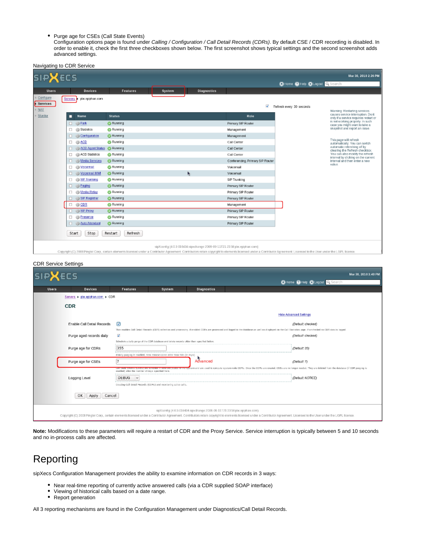• Purge age for CSEs (Call State Events)

Configuration options page is found under Calling / Configuration / Call Detail Records (CDRs). By default CSE / CDR recording is disabled. In order to enable it, check the first three checkboxes shown below. The first screenshot shows typical settings and the second screenshot adds advanced settings.

|                                                                          | Navigating to CDR Service   |                      |        |             |                                                                                                                                                                                                                          |                                 |                                                                                                             |  |
|--------------------------------------------------------------------------|-----------------------------|----------------------|--------|-------------|--------------------------------------------------------------------------------------------------------------------------------------------------------------------------------------------------------------------------|---------------------------------|-------------------------------------------------------------------------------------------------------------|--|
|                                                                          |                             |                      |        |             |                                                                                                                                                                                                                          |                                 | Mar 30, 2010 2:26 PM                                                                                        |  |
| <b>SIPXECS</b>                                                           |                             |                      |        |             |                                                                                                                                                                                                                          | O Home O Help O Logout Q Search |                                                                                                             |  |
| <b>Users</b>                                                             | <b>Devices</b>              | Features             |        |             |                                                                                                                                                                                                                          |                                 |                                                                                                             |  |
|                                                                          |                             |                      | System | Diagnostics |                                                                                                                                                                                                                          |                                 |                                                                                                             |  |
| Configure<br>Services                                                    | Servers<br>pbx.epiphan.com  |                      |        |             |                                                                                                                                                                                                                          |                                 |                                                                                                             |  |
| <b>NAT</b>                                                               |                             |                      |        |             | W.                                                                                                                                                                                                                       | Refresh every 30 seconds        |                                                                                                             |  |
| Monitor                                                                  | Name<br>□                   | <b>Status</b>        |        |             | Role                                                                                                                                                                                                                     |                                 | Warning: Restarting services<br>causes service interruption. Do it<br>only if a service requires restart or |  |
|                                                                          | □ @Park                     | <b>C</b> Running     |        |             | Primary SIP Router                                                                                                                                                                                                       |                                 | is not working property. In such<br>case you might want to take a                                           |  |
|                                                                          | □ @ Statistics              | <b>C</b> Running     |        |             | Management                                                                                                                                                                                                               |                                 | snapshot and report an issue.                                                                               |  |
|                                                                          | Configuration               | <b>C</b> Running     |        |             | Management                                                                                                                                                                                                               |                                 |                                                                                                             |  |
|                                                                          | □ @ ACD                     | <b>C</b> Running     |        |             | Call Center                                                                                                                                                                                                              |                                 | This page will refresh<br>automatically. You can switch                                                     |  |
|                                                                          | ACD Agent Status & Running  |                      |        |             | Call Center                                                                                                                                                                                                              |                                 | automatic refreshing off by<br>clearing the Refresh checkbox.                                               |  |
|                                                                          | <b>ACD</b> Statistics<br>□  | <b>C</b> Running     |        |             | Call Center                                                                                                                                                                                                              |                                 | You can also modify the refresh<br>interval by clicking on the current                                      |  |
|                                                                          | <b>El @ Media Services</b>  | <b>C</b> Running     |        |             | Conferencing, Primary SIP Router                                                                                                                                                                                         |                                 | interval and then enter a new                                                                               |  |
|                                                                          | O @ Voicemail               | <b>C</b> Running     |        |             | Voicemail                                                                                                                                                                                                                |                                 | value.                                                                                                      |  |
|                                                                          | □ @ Voicemail MW            | <b>C</b> Running     |        | h,          | Voicemail                                                                                                                                                                                                                |                                 |                                                                                                             |  |
|                                                                          | SIP Trunking                | <b>C</b> Running     |        |             | SIP Trunking                                                                                                                                                                                                             |                                 |                                                                                                             |  |
|                                                                          | □ @ Paging                  | <b>C</b> Running     |        |             | Primary SIP Router                                                                                                                                                                                                       |                                 |                                                                                                             |  |
|                                                                          | <b>So Media Relay</b><br>п. | <b>B</b> Running     |        |             | Primary SIP Router                                                                                                                                                                                                       |                                 |                                                                                                             |  |
|                                                                          | SIP Registrar<br>□          | <b>C</b> Running     |        |             | Primary SIP Router                                                                                                                                                                                                       |                                 |                                                                                                             |  |
|                                                                          | 口 游CDR                      | <b>B</b> Running     |        |             | Management                                                                                                                                                                                                               |                                 |                                                                                                             |  |
|                                                                          | □ @ SIP Praxy               | <b>&amp;</b> Running |        |             | Primary SIP Router                                                                                                                                                                                                       |                                 |                                                                                                             |  |
|                                                                          | <b>@ Presence</b><br>□      | <b>C</b> Running     |        |             | Primary SIP Router                                                                                                                                                                                                       |                                 |                                                                                                             |  |
|                                                                          | <b>Auto Attendant</b>       | <b>C</b> Running     |        |             | Primary SIP Router                                                                                                                                                                                                       |                                 |                                                                                                             |  |
|                                                                          | Stop<br>Start               | Refresh<br>Restart   |        |             |                                                                                                                                                                                                                          |                                 |                                                                                                             |  |
| sipXconfig (40.3-01.6434 sipxchange 2009-09-11T21:23:58 pbx.epiphan.com) |                             |                      |        |             |                                                                                                                                                                                                                          |                                 |                                                                                                             |  |
|                                                                          |                             |                      |        |             | Copyright (C) 2008 Pingtel Corp., certain elements licensed under a Contributor Agreement. Contributors retain copyright to elements licensed under a Contributor Agreement. Licensed to the User under the LGPL license |                                 |                                                                                                             |  |
|                                                                          |                             |                      |        |             |                                                                                                                                                                                                                          |                                 |                                                                                                             |  |
| <b>CDR Service Settings</b>                                              |                             |                      |        |             |                                                                                                                                                                                                                          |                                 |                                                                                                             |  |
| 1-1-11---                                                                |                             |                      |        |             |                                                                                                                                                                                                                          |                                 | Max 20, 2010 2:40 BM                                                                                        |  |

| <b>SIPXECS</b>                                                                                                                                                                                                                                                                                        |                                 |                                                                                           |        |                    | Mar 30, 2010 3:40 PM                                                                                                                                                                                                       |  |
|-------------------------------------------------------------------------------------------------------------------------------------------------------------------------------------------------------------------------------------------------------------------------------------------------------|---------------------------------|-------------------------------------------------------------------------------------------|--------|--------------------|----------------------------------------------------------------------------------------------------------------------------------------------------------------------------------------------------------------------------|--|
|                                                                                                                                                                                                                                                                                                       |                                 |                                                                                           |        |                    | CHome OHelp C Logout Q Search                                                                                                                                                                                              |  |
| Users.                                                                                                                                                                                                                                                                                                | <b>Devices</b>                  | <b>Features</b>                                                                           | System | <b>Diagnostics</b> |                                                                                                                                                                                                                            |  |
|                                                                                                                                                                                                                                                                                                       | Servers + ptw.epiphan.com + CDR |                                                                                           |        |                    |                                                                                                                                                                                                                            |  |
|                                                                                                                                                                                                                                                                                                       | <b>CDR</b>                      |                                                                                           |        |                    |                                                                                                                                                                                                                            |  |
|                                                                                                                                                                                                                                                                                                       |                                 |                                                                                           |        |                    | <b>Hide Advanced Settings</b>                                                                                                                                                                                              |  |
|                                                                                                                                                                                                                                                                                                       | Enable Call Detail Records      | ☞                                                                                         |        |                    | (Default checked)                                                                                                                                                                                                          |  |
|                                                                                                                                                                                                                                                                                                       |                                 |                                                                                           |        |                    | This enables Call Detail Records (CDR) collection and processing. If enabled CDRs are processed and logged to the database as well as displayed on the Call Statistics page. If unchecked no CDR data is logged.           |  |
|                                                                                                                                                                                                                                                                                                       | Purge aged records daily        | ☑                                                                                         |        |                    | (Default checked)                                                                                                                                                                                                          |  |
|                                                                                                                                                                                                                                                                                                       |                                 | Schedule a daily purge of the CDR database and delete records older than specified below. |        |                    |                                                                                                                                                                                                                            |  |
|                                                                                                                                                                                                                                                                                                       | Purge age for CDRs              | 355                                                                                       |        |                    | (Default 35)                                                                                                                                                                                                               |  |
|                                                                                                                                                                                                                                                                                                       |                                 | -------<br>if daily purging is enabled, then remove CORs older than this (in days)        |        |                    |                                                                                                                                                                                                                            |  |
|                                                                                                                                                                                                                                                                                                       | Purge age for CSEs              |                                                                                           |        | Advanced           | (Default: 7)                                                                                                                                                                                                               |  |
|                                                                                                                                                                                                                                                                                                       |                                 | enabled) after the number of days apacified here.                                         |        |                    | Corristive Events (Cock) and Chicago The District Program the system and are used to compute system wide CDMs. Once the CDMs are created, CSEs are no longer needed. They are deleted from the database (if CDM purging is |  |
|                                                                                                                                                                                                                                                                                                       | Logging Level                   | DEBUG<br>$\vee$                                                                           |        |                    | (Default: NOTICE)                                                                                                                                                                                                          |  |
|                                                                                                                                                                                                                                                                                                       |                                 | creating call betail weards (cows) and monitoring active talls.                           |        |                    |                                                                                                                                                                                                                            |  |
|                                                                                                                                                                                                                                                                                                       | OK<br>Apply<br>Cancel           |                                                                                           |        |                    |                                                                                                                                                                                                                            |  |
| sipXconfig [4.0.3-016434.sipxchange 2009-09-11T21:23:58 pbx.epiphan.com)<br>Copyright (C) 2008 Pingtel Corp., certain elements licensed under a Contributor Agreement. Contributors retain copyright to elements licensed under a Contributor Agreement. Licensed to the User under the LGPL license. |                                 |                                                                                           |        |                    |                                                                                                                                                                                                                            |  |

**Note:** Modifications to these parameters will require a restart of CDR and the Proxy Service. Service interruption is typically between 5 and 10 seconds and no in-process calls are affected.

## Reporting

sipXecs Configuration Management provides the ability to examine information on CDR records in 3 ways:

- Near real-time reporting of currently active answered calls (via a CDR supplied SOAP interface)
- Viewing of historical calls based on a date range.
- Report generation

All 3 reporting mechanisms are found in the Configuration Management under Diagnostics/Call Detail Records.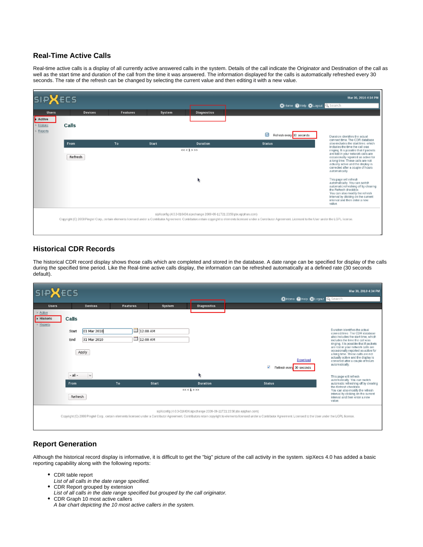## **Real-Time Active Calls**

Real-time active calls is a display of all currently active answered calls in the system. Details of the call indicate the Originator and Destination of the call as well as the start time and duration of the call from the time it was answered. The information displayed for the calls is automatically refreshed every 30 seconds. The rate of the refresh can be changed by selecting the current value and then editing it with a new value.

| <b>SIPXECS</b>                |                |                 |        | Mar 30, 2010 4:34 PM<br>OHome OHelp OLogout Q Search                     |                                                                                                                                                                                                                           |                                                                                                                                                                                                                                                       |  |
|-------------------------------|----------------|-----------------|--------|--------------------------------------------------------------------------|---------------------------------------------------------------------------------------------------------------------------------------------------------------------------------------------------------------------------|-------------------------------------------------------------------------------------------------------------------------------------------------------------------------------------------------------------------------------------------------------|--|
| <b>Users</b>                  | <b>Devices</b> | <b>Features</b> | System | <b>Diagnostics</b>                                                       |                                                                                                                                                                                                                           |                                                                                                                                                                                                                                                       |  |
| Active<br>Historic<br>Reports | Calls          |                 |        |                                                                          |                                                                                                                                                                                                                           |                                                                                                                                                                                                                                                       |  |
|                               |                |                 |        |                                                                          | ⊠<br>Refresh every 30 seconds                                                                                                                                                                                             | Duration identifies the actual<br>connect time. The CDR database                                                                                                                                                                                      |  |
|                               | From           | To              | Start  | <b>Duration</b>                                                          | <b>Status</b>                                                                                                                                                                                                             | also includes the start time, which<br>includes the time the call was                                                                                                                                                                                 |  |
|                               | Refresh        |                 |        | << < 1 > >>                                                              |                                                                                                                                                                                                                           | ringing. It is possible that if packets<br>are lost in your network calls are<br>occasionally reported as active for<br>a long time. These calls are not<br>actually active and the display is<br>corrected after a couple of hours<br>automatically. |  |
|                               |                |                 |        | k                                                                        |                                                                                                                                                                                                                           | This page will refresh<br>automatically. You can switch<br>automatic refreshing off by clearing<br>the Refresh checkbox.<br>You can also modify the refresh<br>Interval by clicking on the current<br>interval and then enter a new<br>value.         |  |
|                               |                |                 |        | sipXconfig (4.0.3-016434.sipxchange 2009-09-11T21:23:59 pbx.epiphan.com) | Copyright (C) 2008 Pingtel Corp., certain elements licensed under a Contributor Agreement. Contributors retain copyright to elements licensed under a Contributor Agreement. Licensed to the User under the LGPL license. |                                                                                                                                                                                                                                                       |  |

## **Historical CDR Records**

The historical CDR record display shows those calls which are completed and stored in the database. A date range can be specified for display of the calls during the specified time period. Like the Real-time active calls display, the information can be refreshed automatically at a defined rate (30 seconds default).

| <b>SIPXECS</b>                           |                                                              |                                  |        |                                           |                                                                                                                                                                                                                                                                                                       | Mar 30, 2010 4:34 PM                                                                                                                                                                                                                                                                                                                                                                                |
|------------------------------------------|--------------------------------------------------------------|----------------------------------|--------|-------------------------------------------|-------------------------------------------------------------------------------------------------------------------------------------------------------------------------------------------------------------------------------------------------------------------------------------------------------|-----------------------------------------------------------------------------------------------------------------------------------------------------------------------------------------------------------------------------------------------------------------------------------------------------------------------------------------------------------------------------------------------------|
|                                          |                                                              |                                  |        |                                           | CHoma CHelp Citogout Q Search                                                                                                                                                                                                                                                                         |                                                                                                                                                                                                                                                                                                                                                                                                     |
| <b>Users</b>                             | <b>Devices</b>                                               | <b>Features</b>                  | System | <b>Diagnostics</b>                        |                                                                                                                                                                                                                                                                                                       |                                                                                                                                                                                                                                                                                                                                                                                                     |
| > Active<br><b>E</b> Historic<br>Reports | Calls<br>01 Mar 2010<br>Start<br>End<br>31 Mar 2010<br>Apply | ш<br>12:00 AM<br>$\Box$ 12:00 AM |        | Download<br>₹<br>Refresh every 30 seconds |                                                                                                                                                                                                                                                                                                       | Duration identifies the actual<br>connect time. The CDR database<br>also includes the start time, which<br>includes the time the call was<br>ringing. It is possible that if packets<br>are lost in your network calls are<br>occasionally reported as active for<br>a long time. These calls are not<br>actually active and the display is<br>corrected after a couple of hours.<br>automatically. |
|                                          | $\vee$<br>$-$ all $-$                                        |                                  |        | k.                                        |                                                                                                                                                                                                                                                                                                       | This page will refresh                                                                                                                                                                                                                                                                                                                                                                              |
|                                          | From:                                                        | To                               | Start  | <b>Duration</b>                           | <b>Status</b>                                                                                                                                                                                                                                                                                         | automatically. You can switch<br>automatic refreshing off by clearing<br>the Retresh checkbox.                                                                                                                                                                                                                                                                                                      |
|                                          | Refresh                                                      |                                  |        | $<< 1$ > >>                               |                                                                                                                                                                                                                                                                                                       | You can also modify the refresh<br>interval by clicking on the current<br>interval and then enter a new<br>value.                                                                                                                                                                                                                                                                                   |
|                                          |                                                              |                                  |        |                                           | sipXconfig (4.0.3-016434.sipxchange 2009-09-11T21:23:56 pbx.epiphan.com)<br>Copyright (C) 2009 Pingtel Corp., certain elements licensed under a Contributor Agreement. Contributors retain copyright to elements licensed under a Contributor Agreement. Licensed to the User under the LGPL license. |                                                                                                                                                                                                                                                                                                                                                                                                     |

## **Report Generation**

Although the historical record display is informative, it is difficult to get the "big" picture of the call activity in the system. sipXecs 4.0 has added a basic reporting capability along with the following reports:

- CDR table report
- List of all calls in the date range specified.
- CDR Report grouped by extension
- List of all calls in the date range specified but grouped by the call originator.
- CDR Graph 10 most active callers A bar chart depicting the 10 most active callers in the system.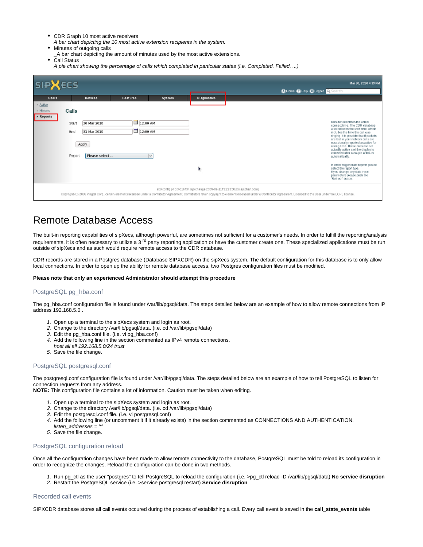- CDR Graph 10 most active receivers
- A bar chart depicting the 10 most active extension recipients in the system.
- Minutes of outgoing calls
- \_A bar chart depicting the amount of minutes used by the most active extensions. Call Status
- A pie chart showing the percentage of calls which completed in particular states (i.e. Completed, Failed, ...)

| <b>SIPXECS</b>                                                                                                                                                                                                                                                                                    |              |                            |                                        |        |                    | Mar 30, 2010 4:33 PM<br><b>QHome @Hep QLogout Q Search</b>                                                                                                                                                                 |  |  |
|---------------------------------------------------------------------------------------------------------------------------------------------------------------------------------------------------------------------------------------------------------------------------------------------------|--------------|----------------------------|----------------------------------------|--------|--------------------|----------------------------------------------------------------------------------------------------------------------------------------------------------------------------------------------------------------------------|--|--|
| <b>Users</b>                                                                                                                                                                                                                                                                                      |              | Devices                    | <b>Features</b>                        | System | <b>Diagnostics</b> |                                                                                                                                                                                                                            |  |  |
| > Active<br>$>$ Historic<br>Reports                                                                                                                                                                                                                                                               | Calls        |                            |                                        |        |                    |                                                                                                                                                                                                                            |  |  |
|                                                                                                                                                                                                                                                                                                   | Start<br>End | 30 Mar 2010<br>31 Mar 2010 | 12:00 AM<br>$\boxed{12:00 \text{ AM}}$ |        |                    | Duration identifies the actual<br>connect time. The CDR database<br>also includes the start time, which<br>includes the time the call was<br>ringing. It is possible that if packets<br>are lost in your network calls are |  |  |
|                                                                                                                                                                                                                                                                                                   | Report       | Apply<br>Please select     |                                        | l v    |                    | occasionally reported as active for<br>a long time. These calls are not<br>actually active and the display is<br>corrected after a couple of hours.<br>automatically.                                                      |  |  |
|                                                                                                                                                                                                                                                                                                   |              |                            |                                        |        | ı,                 | In order to generate reports please<br>select the report type.<br>If you change any data input<br>parameters please push the<br>'Refrash' button.                                                                          |  |  |
| sipXconflg [4.0.3-016434.sipxchange 2009-09-11T21:23:56 pbx.epiphan.com)<br>Copyright (C) 2009 Pingtel Corp., certain elements licensed under a Com/butor Agreement. Com/butors retain copyright to elements licensed under a Contributor Agreement. Licensed to the User under the LGPL license. |              |                            |                                        |        |                    |                                                                                                                                                                                                                            |  |  |

## Remote Database Access

The built-in reporting capabilities of sipXecs, although powerful, are sometimes not sufficient for a customer's needs. In order to fulfill the reporting/analysis requirements, it is often necessary to utilize a 3<sup>rd</sup> party reporting application or have the customer create one. These specialized applications must be run outside of sipXecs and as such would require remote access to the CDR database.

CDR records are stored in a Postgres database (Database SIPXCDR) on the sipXecs system. The default configuration for this database is to only allow local connections. In order to open up the ability for remote database access, two Postgres configuration files must be modified.

### **Please note that only an experienced Administrator should attempt this procedure**

### PostgreSQL pg\_hba.conf

The pg\_hba.conf configuration file is found under /var/lib/pgsql/data. The steps detailed below are an example of how to allow remote connections from IP address 192.168.5.0 .

- 1. Open up a terminal to the sipXecs system and login as root.
- 2. Change to the directory /var/lib/pgsql/data. (i.e. cd /var/lib/pgsql/data)
- 3. Edit the pg\_hba.conf file. (i.e. vi pg\_hba.conf)
- 4. Add the following line in the section commented as IPv4 remote connections.
- host all all 192.168.5.0/24 trust
- 5. Save the file change.

#### PostgreSQL postgresql.conf

The postgresql.conf configuration file is found under /var/lib/pgsql/data. The steps detailed below are an example of how to tell PostgreSQL to listen for connection requests from any address.

**NOTE:** This configuration file contains a lot of information. Caution must be taken when editing.

- 1. Open up a terminal to the sipXecs system and login as root.
- 2. Change to the directory /var/lib/pgsql/data. (i.e. cd /var/lib/pgsql/data)
- 3. Edit the postgresql.conf file. (i.e. vi postgresql.conf)
- 4. Add the following line (or uncomment it if it already exists) in the section commented as CONNECTIONS AND AUTHENTICATION.
- listen\_addresses = "\*
- 5. Save the file change.

#### PostgreSQL configuration reload

Once all the configuration changes have been made to allow remote connectivity to the database, PostgreSQL must be told to reload its configuration in order to recognize the changes. Reload the configuration can be done in two methods.

- 1. Run pg\_ctl as the user "postgres" to tell PostgreSQL to reload the configuration (i.e. >pg\_ctl reload -D /var/lib/pgsql/data) **No service disruption**
- 2. Restart the PostgreSQL service (i.e. >service postgresql restart) **Service disruption**

### Recorded call events

SIPXCDR database stores all call events occured during the process of establishing a call. Every call event is saved in the **call\_state\_events** table